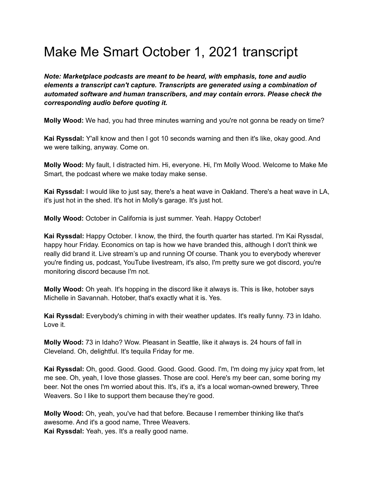## Make Me Smart October 1, 2021 transcript

*Note: Marketplace podcasts are meant to be heard, with emphasis, tone and audio elements a transcript can't capture. Transcripts are generated using a combination of automated software and human transcribers, and may contain errors. Please check the corresponding audio before quoting it.*

**Molly Wood:** We had, you had three minutes warning and you're not gonna be ready on time?

**Kai Ryssdal:** Y'all know and then I got 10 seconds warning and then it's like, okay good. And we were talking, anyway. Come on.

**Molly Wood:** My fault, I distracted him. Hi, everyone. Hi, I'm Molly Wood. Welcome to Make Me Smart, the podcast where we make today make sense.

**Kai Ryssdal:** I would like to just say, there's a heat wave in Oakland. There's a heat wave in LA, it's just hot in the shed. It's hot in Molly's garage. It's just hot.

**Molly Wood:** October in California is just summer. Yeah. Happy October!

**Kai Ryssdal:** Happy October. I know, the third, the fourth quarter has started. I'm Kai Ryssdal, happy hour Friday. Economics on tap is how we have branded this, although I don't think we really did brand it. Live stream's up and running Of course. Thank you to everybody wherever you're finding us, podcast, YouTube livestream, it's also, I'm pretty sure we got discord, you're monitoring discord because I'm not.

**Molly Wood:** Oh yeah. It's hopping in the discord like it always is. This is like, hotober says Michelle in Savannah. Hotober, that's exactly what it is. Yes.

**Kai Ryssdal:** Everybody's chiming in with their weather updates. It's really funny. 73 in Idaho. Love it.

**Molly Wood:** 73 in Idaho? Wow. Pleasant in Seattle, like it always is. 24 hours of fall in Cleveland. Oh, delightful. It's tequila Friday for me.

**Kai Ryssdal:** Oh, good. Good. Good. Good. Good. Good. I'm, I'm doing my juicy xpat from, let me see. Oh, yeah, I love those glasses. Those are cool. Here's my beer can, some boring my beer. Not the ones I'm worried about this. It's, it's a, it's a local woman-owned brewery, Three Weavers. So I like to support them because they're good.

**Molly Wood:** Oh, yeah, you've had that before. Because I remember thinking like that's awesome. And it's a good name, Three Weavers. **Kai Ryssdal:** Yeah, yes. It's a really good name.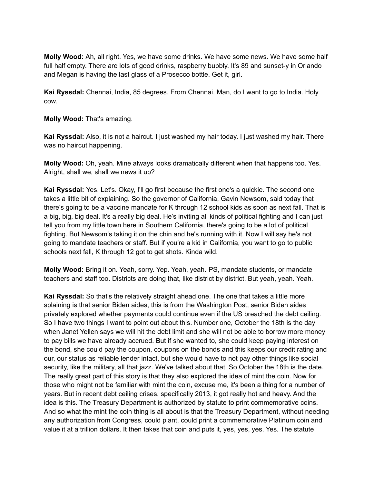**Molly Wood:** Ah, all right. Yes, we have some drinks. We have some news. We have some half full half empty. There are lots of good drinks, raspberry bubbly. It's 89 and sunset-y in Orlando and Megan is having the last glass of a Prosecco bottle. Get it, girl.

**Kai Ryssdal:** Chennai, India, 85 degrees. From Chennai. Man, do I want to go to India. Holy cow.

**Molly Wood:** That's amazing.

**Kai Ryssdal:** Also, it is not a haircut. I just washed my hair today. I just washed my hair. There was no haircut happening.

**Molly Wood:** Oh, yeah. Mine always looks dramatically different when that happens too. Yes. Alright, shall we, shall we news it up?

**Kai Ryssdal:** Yes. Let's. Okay, I'll go first because the first one's a quickie. The second one takes a little bit of explaining. So the governor of California, Gavin Newsom, said today that there's going to be a vaccine mandate for K through 12 school kids as soon as next fall. That is a big, big, big deal. It's a really big deal. He's inviting all kinds of political fighting and I can just tell you from my little town here in Southern California, there's going to be a lot of political fighting. But Newsom's taking it on the chin and he's running with it. Now I will say he's not going to mandate teachers or staff. But if you're a kid in California, you want to go to public schools next fall, K through 12 got to get shots. Kinda wild.

**Molly Wood:** Bring it on. Yeah, sorry. Yep. Yeah, yeah. PS, mandate students, or mandate teachers and staff too. Districts are doing that, like district by district. But yeah, yeah. Yeah.

**Kai Ryssdal:** So that's the relatively straight ahead one. The one that takes a little more splaining is that senior Biden aides, this is from the Washington Post, senior Biden aides privately explored whether payments could continue even if the US breached the debt ceiling. So I have two things I want to point out about this. Number one, October the 18th is the day when Janet Yellen says we will hit the debt limit and she will not be able to borrow more money to pay bills we have already accrued. But if she wanted to, she could keep paying interest on the bond, she could pay the coupon, coupons on the bonds and this keeps our credit rating and our, our status as reliable lender intact, but she would have to not pay other things like social security, like the military, all that jazz. We've talked about that. So October the 18th is the date. The really great part of this story is that they also explored the idea of mint the coin. Now for those who might not be familiar with mint the coin, excuse me, it's been a thing for a number of years. But in recent debt ceiling crises, specifically 2013, it got really hot and heavy. And the idea is this. The Treasury Department is authorized by statute to print commemorative coins. And so what the mint the coin thing is all about is that the Treasury Department, without needing any authorization from Congress, could plant, could print a commemorative Platinum coin and value it at a trillion dollars. It then takes that coin and puts it, yes, yes, yes. Yes. The statute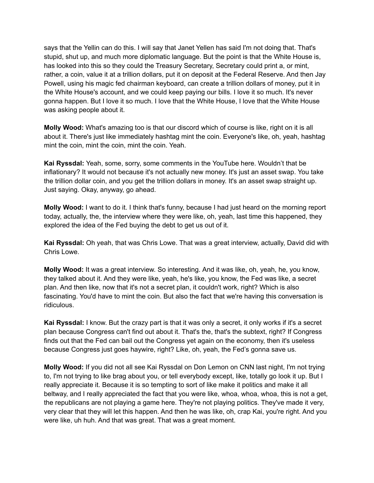says that the Yellin can do this. I will say that Janet Yellen has said I'm not doing that. That's stupid, shut up, and much more diplomatic language. But the point is that the White House is, has looked into this so they could the Treasury Secretary, Secretary could print a, or mint, rather, a coin, value it at a trillion dollars, put it on deposit at the Federal Reserve. And then Jay Powell, using his magic fed chairman keyboard, can create a trillion dollars of money, put it in the White House's account, and we could keep paying our bills. I love it so much. It's never gonna happen. But I love it so much. I love that the White House, I love that the White House was asking people about it.

**Molly Wood:** What's amazing too is that our discord which of course is like, right on it is all about it. There's just like immediately hashtag mint the coin. Everyone's like, oh, yeah, hashtag mint the coin, mint the coin, mint the coin. Yeah.

**Kai Ryssdal:** Yeah, some, sorry, some comments in the YouTube here. Wouldn't that be inflationary? It would not because it's not actually new money. It's just an asset swap. You take the trillion dollar coin, and you get the trillion dollars in money. It's an asset swap straight up. Just saying. Okay, anyway, go ahead.

**Molly Wood:** I want to do it. I think that's funny, because I had just heard on the morning report today, actually, the, the interview where they were like, oh, yeah, last time this happened, they explored the idea of the Fed buying the debt to get us out of it.

**Kai Ryssdal:** Oh yeah, that was Chris Lowe. That was a great interview, actually, David did with Chris Lowe.

**Molly Wood:** It was a great interview. So interesting. And it was like, oh, yeah, he, you know, they talked about it. And they were like, yeah, he's like, you know, the Fed was like, a secret plan. And then like, now that it's not a secret plan, it couldn't work, right? Which is also fascinating. You'd have to mint the coin. But also the fact that we're having this conversation is ridiculous.

**Kai Ryssdal:** I know. But the crazy part is that it was only a secret, it only works if it's a secret plan because Congress can't find out about it. That's the, that's the subtext, right? If Congress finds out that the Fed can bail out the Congress yet again on the economy, then it's useless because Congress just goes haywire, right? Like, oh, yeah, the Fed's gonna save us.

**Molly Wood:** If you did not all see Kai Ryssdal on Don Lemon on CNN last night, I'm not trying to, I'm not trying to like brag about you, or tell everybody except, like, totally go look it up. But I really appreciate it. Because it is so tempting to sort of like make it politics and make it all beltway, and I really appreciated the fact that you were like, whoa, whoa, whoa, this is not a get, the republicans are not playing a game here. They're not playing politics. They've made it very, very clear that they will let this happen. And then he was like, oh, crap Kai, you're right. And you were like, uh huh. And that was great. That was a great moment.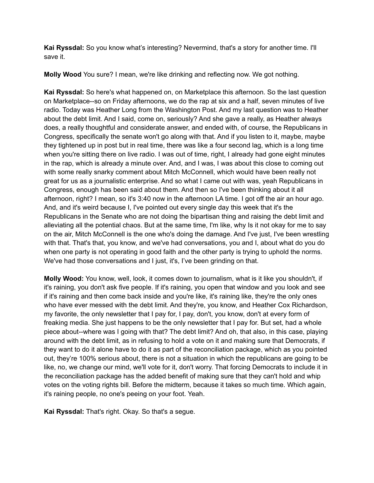**Kai Ryssdal:** So you know what's interesting? Nevermind, that's a story for another time. I'll save it.

**Molly Wood** You sure? I mean, we're like drinking and reflecting now. We got nothing.

**Kai Ryssdal:** So here's what happened on, on Marketplace this afternoon. So the last question on Marketplace--so on Friday afternoons, we do the rap at six and a half, seven minutes of live radio. Today was Heather Long from the Washington Post. And my last question was to Heather about the debt limit. And I said, come on, seriously? And she gave a really, as Heather always does, a really thoughtful and considerate answer, and ended with, of course, the Republicans in Congress, specifically the senate won't go along with that. And if you listen to it, maybe, maybe they tightened up in post but in real time, there was like a four second lag, which is a long time when you're sitting there on live radio. I was out of time, right, I already had gone eight minutes in the rap, which is already a minute over. And, and I was, I was about this close to coming out with some really snarky comment about Mitch McConnell, which would have been really not great for us as a journalistic enterprise. And so what I came out with was, yeah Republicans in Congress, enough has been said about them. And then so I've been thinking about it all afternoon, right? I mean, so it's 3:40 now in the afternoon LA time. I got off the air an hour ago. And, and it's weird because I, I've pointed out every single day this week that it's the Republicans in the Senate who are not doing the bipartisan thing and raising the debt limit and alleviating all the potential chaos. But at the same time, I'm like, why Is it not okay for me to say on the air, Mitch McConnell is the one who's doing the damage. And I've just, I've been wrestling with that. That's that, you know, and we've had conversations, you and I, about what do you do when one party is not operating in good faith and the other party is trying to uphold the norms. We've had those conversations and I just, it's, I've been grinding on that.

**Molly Wood:** You know, well, look, it comes down to journalism, what is it like you shouldn't, if it's raining, you don't ask five people. If it's raining, you open that window and you look and see if it's raining and then come back inside and you're like, it's raining like, they're the only ones who have ever messed with the debt limit. And they're, you know, and Heather Cox Richardson, my favorite, the only newsletter that I pay for, I pay, don't, you know, don't at every form of freaking media. She just happens to be the only newsletter that I pay for. But set, had a whole piece about--where was I going with that? The debt limit? And oh, that also, in this case, playing around with the debt limit, as in refusing to hold a vote on it and making sure that Democrats, if they want to do it alone have to do it as part of the reconciliation package, which as you pointed out, they're 100% serious about, there is not a situation in which the republicans are going to be like, no, we change our mind, we'll vote for it, don't worry. That forcing Democrats to include it in the reconciliation package has the added benefit of making sure that they can't hold and whip votes on the voting rights bill. Before the midterm, because it takes so much time. Which again, it's raining people, no one's peeing on your foot. Yeah.

**Kai Ryssdal:** That's right. Okay. So that's a segue.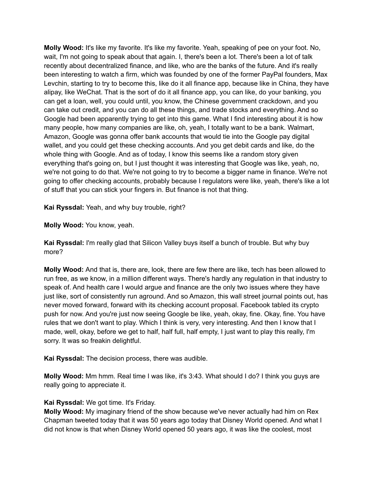**Molly Wood:** It's like my favorite. It's like my favorite. Yeah, speaking of pee on your foot. No, wait, I'm not going to speak about that again. I, there's been a lot. There's been a lot of talk recently about decentralized finance, and like, who are the banks of the future. And it's really been interesting to watch a firm, which was founded by one of the former PayPal founders, Max Levchin, starting to try to become this, like do it all finance app, because like in China, they have alipay, like WeChat. That is the sort of do it all finance app, you can like, do your banking, you can get a loan, well, you could until, you know, the Chinese government crackdown, and you can take out credit, and you can do all these things, and trade stocks and everything. And so Google had been apparently trying to get into this game. What I find interesting about it is how many people, how many companies are like, oh, yeah, I totally want to be a bank. Walmart, Amazon, Google was gonna offer bank accounts that would tie into the Google pay digital wallet, and you could get these checking accounts. And you get debit cards and like, do the whole thing with Google. And as of today, I know this seems like a random story given everything that's going on, but I just thought it was interesting that Google was like, yeah, no, we're not going to do that. We're not going to try to become a bigger name in finance. We're not going to offer checking accounts, probably because I regulators were like, yeah, there's like a lot of stuff that you can stick your fingers in. But finance is not that thing.

**Kai Ryssdal:** Yeah, and why buy trouble, right?

**Molly Wood:** You know, yeah.

**Kai Ryssdal:** I'm really glad that Silicon Valley buys itself a bunch of trouble. But why buy more?

**Molly Wood:** And that is, there are, look, there are few there are like, tech has been allowed to run free, as we know, in a million different ways. There's hardly any regulation in that industry to speak of. And health care I would argue and finance are the only two issues where they have just like, sort of consistently run aground. And so Amazon, this wall street journal points out, has never moved forward, forward with its checking account proposal. Facebook tabled its crypto push for now. And you're just now seeing Google be like, yeah, okay, fine. Okay, fine. You have rules that we don't want to play. Which I think is very, very interesting. And then I know that I made, well, okay, before we get to half, half full, half empty, I just want to play this really, I'm sorry. It was so freakin delightful.

**Kai Ryssdal:** The decision process, there was audible.

**Molly Wood:** Mm hmm. Real time I was like, it's 3:43. What should I do? I think you guys are really going to appreciate it.

## **Kai Ryssdal:** We got time. It's Friday.

**Molly Wood:** My imaginary friend of the show because we've never actually had him on Rex Chapman tweeted today that it was 50 years ago today that Disney World opened. And what I did not know is that when Disney World opened 50 years ago, it was like the coolest, most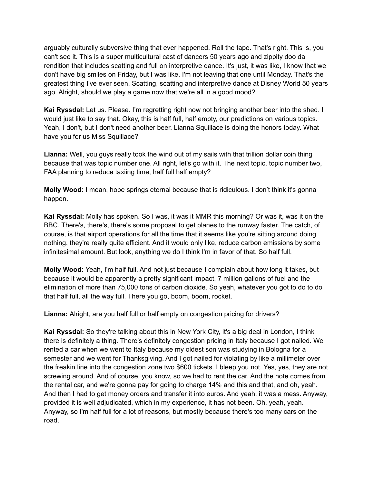arguably culturally subversive thing that ever happened. Roll the tape. That's right. This is, you can't see it. This is a super multicultural cast of dancers 50 years ago and zippity doo da rendition that includes scatting and full on interpretive dance. It's just, it was like, I know that we don't have big smiles on Friday, but I was like, I'm not leaving that one until Monday. That's the greatest thing I've ever seen. Scatting, scatting and interpretive dance at Disney World 50 years ago. Alright, should we play a game now that we're all in a good mood?

**Kai Ryssdal:** Let us. Please. I'm regretting right now not bringing another beer into the shed. I would just like to say that. Okay, this is half full, half empty, our predictions on various topics. Yeah, I don't, but I don't need another beer. Lianna Squillace is doing the honors today. What have you for us Miss Squillace?

**Lianna:** Well, you guys really took the wind out of my sails with that trillion dollar coin thing because that was topic number one. All right, let's go with it. The next topic, topic number two, FAA planning to reduce taxiing time, half full half empty?

**Molly Wood:** I mean, hope springs eternal because that is ridiculous. I don't think it's gonna happen.

**Kai Ryssdal:** Molly has spoken. So I was, it was it MMR this morning? Or was it, was it on the BBC. There's, there's, there's some proposal to get planes to the runway faster. The catch, of course, is that airport operations for all the time that it seems like you're sitting around doing nothing, they're really quite efficient. And it would only like, reduce carbon emissions by some infinitesimal amount. But look, anything we do I think I'm in favor of that. So half full.

**Molly Wood:** Yeah, I'm half full. And not just because I complain about how long it takes, but because it would be apparently a pretty significant impact, 7 million gallons of fuel and the elimination of more than 75,000 tons of carbon dioxide. So yeah, whatever you got to do to do that half full, all the way full. There you go, boom, boom, rocket.

**Lianna:** Alright, are you half full or half empty on congestion pricing for drivers?

**Kai Ryssdal:** So they're talking about this in New York City, it's a big deal in London, I think there is definitely a thing. There's definitely congestion pricing in Italy because I got nailed. We rented a car when we went to Italy because my oldest son was studying in Bologna for a semester and we went for Thanksgiving. And I got nailed for violating by like a millimeter over the freakin line into the congestion zone two \$600 tickets. I bleep you not. Yes, yes, they are not screwing around. And of course, you know, so we had to rent the car. And the note comes from the rental car, and we're gonna pay for going to charge 14% and this and that, and oh, yeah. And then I had to get money orders and transfer it into euros. And yeah, it was a mess. Anyway, provided it is well adjudicated, which in my experience, it has not been. Oh, yeah, yeah. Anyway, so I'm half full for a lot of reasons, but mostly because there's too many cars on the road.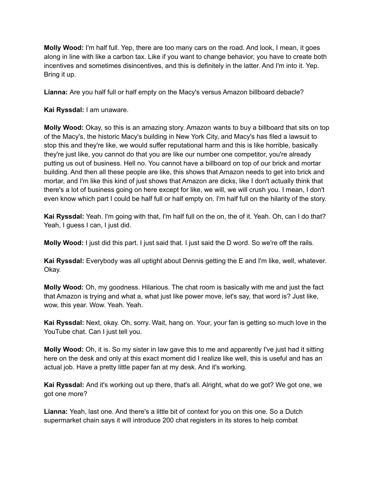**Molly Wood:** I'm half full. Yep, there are too many cars on the road. And look, I mean, it goes along in line with like a carbon tax. Like if you want to change behavior, you have to create both incentives and sometimes disincentives, and this is definitely in the latter. And I'm into it. Yep. Bring it up.

**Lianna:** Are you half full or half empty on the Macy's versus Amazon billboard debacle?

## **Kai Ryssdal:** I am unaware.

**Molly Wood:** Okay, so this is an amazing story. Amazon wants to buy a billboard that sits on top of the Macy's, the historic Macy's building in New York City, and Macy's has filed a lawsuit to stop this and they're like, we would suffer reputational harm and this is like horrible, basically they're just like, you cannot do that you are like our number one competitor, you're already putting us out of business. Hell no. You cannot have a billboard on top of our brick and mortar building. And then all these people are like, this shows that Amazon needs to get into brick and mortar, and I'm like this kind of just shows that Amazon are dicks, like I don't actually think that there's a lot of business going on here except for like, we will, we will crush you. I mean, I don't even know which part I could be half full or half empty on. I'm half full on the hilarity of the story.

**Kai Ryssdal:** Yeah. I'm going with that, I'm half full on the on, the of it. Yeah. Oh, can I do that? Yeah, I quess I can, I just did.

**Molly Wood:** I just did this part. I just said that. I just said the D word. So we're off the rails.

**Kai Ryssdal:** Everybody was all uptight about Dennis getting the E and I'm like, well, whatever. Okay.

**Molly Wood:** Oh, my goodness. Hilarious. The chat room is basically with me and just the fact that Amazon is trying and what a, what just like power move, let's say, that word is? Just like, wow, this year. Wow. Yeah. Yeah.

**Kai Ryssdal:** Next, okay. Oh, sorry. Wait, hang on. Your, your fan is getting so much love in the YouTube chat. Can I just tell you.

**Molly Wood:** Oh, it is. So my sister in law gave this to me and apparently I've just had it sitting here on the desk and only at this exact moment did I realize like well, this is useful and has an actual job. Have a pretty little paper fan at my desk. And it's working.

**Kai Ryssdal:** And it's working out up there, that's all. Alright, what do we got? We got one, we got one more?

**Lianna:** Yeah, last one. And there's a little bit of context for you on this one. So a Dutch supermarket chain says it will introduce 200 chat registers in its stores to help combat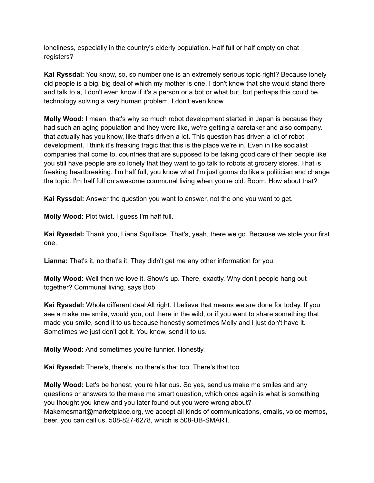loneliness, especially in the country's elderly population. Half full or half empty on chat registers?

**Kai Ryssdal:** You know, so, so number one is an extremely serious topic right? Because lonely old people is a big, big deal of which my mother is one. I don't know that she would stand there and talk to a, I don't even know if it's a person or a bot or what but, but perhaps this could be technology solving a very human problem, I don't even know.

**Molly Wood:** I mean, that's why so much robot development started in Japan is because they had such an aging population and they were like, we're getting a caretaker and also company. that actually has you know, like that's driven a lot. This question has driven a lot of robot development. I think it's freaking tragic that this is the place we're in. Even in like socialist companies that come to, countries that are supposed to be taking good care of their people like you still have people are so lonely that they want to go talk to robots at grocery stores. That is freaking heartbreaking. I'm half full, you know what I'm just gonna do like a politician and change the topic. I'm half full on awesome communal living when you're old. Boom. How about that?

**Kai Ryssdal:** Answer the question you want to answer, not the one you want to get.

**Molly Wood:** Plot twist. I guess I'm half full.

**Kai Ryssdal:** Thank you, Liana Squillace. That's, yeah, there we go. Because we stole your first one.

**Lianna:** That's it, no that's it. They didn't get me any other information for you.

**Molly Wood:** Well then we love it. Show's up. There, exactly. Why don't people hang out together? Communal living, says Bob.

**Kai Ryssdal:** Whole different deal All right. I believe that means we are done for today. If you see a make me smile, would you, out there in the wild, or if you want to share something that made you smile, send it to us because honestly sometimes Molly and I just don't have it. Sometimes we just don't got it. You know, send it to us.

**Molly Wood:** And sometimes you're funnier. Honestly.

**Kai Ryssdal:** There's, there's, no there's that too. There's that too.

**Molly Wood:** Let's be honest, you're hilarious. So yes, send us make me smiles and any questions or answers to the make me smart question, which once again is what is something you thought you knew and you later found out you were wrong about? Makemesmart@marketplace.org, we accept all kinds of communications, emails, voice memos, beer, you can call us, 508-827-6278, which is 508-UB-SMART.